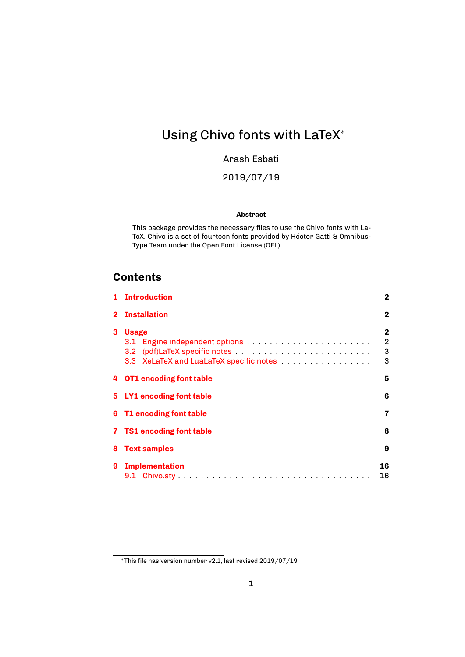# <span id="page-0-0"></span>Using Chivo fonts with LaTeX<sup>\*</sup>

# Arash Esbati

2019/07/19

#### **Abstract**

This package provides the necessary files to use the Chivo fonts with La-TeX. Chivo is a set of fourteen fonts provided by Héctor Gatti & Omnibus-Type Team under the Open Font License (OFL).

# **Contents**

|    | <b>Introduction</b>                                                                                                                                                    | $\mathbf{2}$                           |  |  |  |  |  |
|----|------------------------------------------------------------------------------------------------------------------------------------------------------------------------|----------------------------------------|--|--|--|--|--|
| 2  | <b>Installation</b>                                                                                                                                                    | $\mathbf{2}$                           |  |  |  |  |  |
| 3  | <b>Usage</b><br>$\text{ (pdf)}$ LaTeX specific notes $\ldots \ldots \ldots \ldots \ldots \ldots \ldots$<br>3.2 <sub>1</sub><br>3.3 XeLaTeX and LuaLaTeX specific notes | $\mathbf{2}$<br>$\mathbf{2}$<br>3<br>3 |  |  |  |  |  |
|    | 4 OT1 encoding font table                                                                                                                                              | 5                                      |  |  |  |  |  |
|    | 5 LY1 encoding font table                                                                                                                                              | 6                                      |  |  |  |  |  |
|    | 7<br>6 T1 encoding font table                                                                                                                                          |                                        |  |  |  |  |  |
| 7. | <b>TS1</b> encoding font table                                                                                                                                         | 8                                      |  |  |  |  |  |
| 8  | <b>Text samples</b>                                                                                                                                                    | 9                                      |  |  |  |  |  |
| 9  | <b>Implementation</b>                                                                                                                                                  | 16<br>16                               |  |  |  |  |  |

<sup>∗</sup>This file has version number v2.1, last revised 2019/07/19.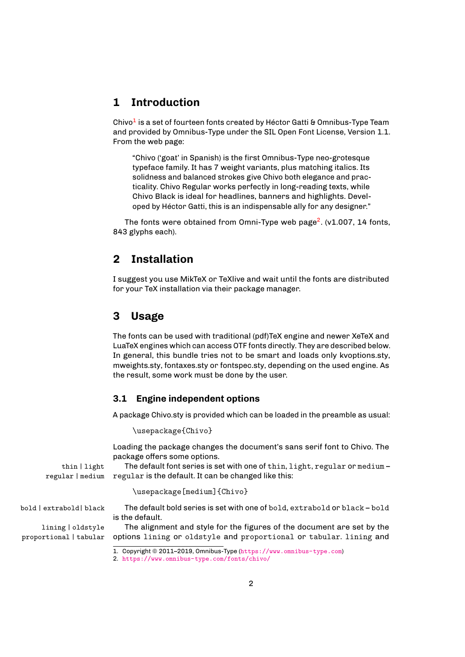# <span id="page-1-0"></span>**1 Introduction**

Chivo<sup>[1](#page-1-4)</sup> is a set of fourteen fonts created by Héctor Gatti & Omnibus-Type Team and provided by Omnibus-Type under the SIL Open Font License, Version 1.1. From the web page:

"Chivo ('goat' in Spanish) is the first Omnibus-Type neo-grotesque typeface family. It has 7 weight variants, plus matching italics. Its solidness and balanced strokes give Chivo both elegance and practicality. Chivo Regular works perfectly in long-reading texts, while Chivo Black is ideal for headlines, banners and highlights. Developed by Héctor Gatti, this is an indispensable ally for any designer."

The fonts were obtained from Omni-Type web page $^2$  $^2$ . (v1.007, 14 fonts, 843 glyphs each).

# <span id="page-1-1"></span>**2 Installation**

I suggest you use MikTeX or TeXlive and wait until the fonts are distributed for your TeX installation via their package manager.

# <span id="page-1-2"></span>**3 Usage**

The fonts can be used with traditional (pdf)TeX engine and newer XeTeX and LuaTeX engines which can access OTF fonts directly. They are described below. In general, this bundle tries not to be smart and loads only kvoptions.sty, mweights.sty, fontaxes.sty or fontspec.sty, depending on the used engine. As the result, some work must be done by the user.

## <span id="page-1-3"></span>**3.1 Engine independent options**

A package Chivo.sty is provided which can be loaded in the preamble as usual:

\usepackage{Chivo}

Loading the package changes the document's sans serif font to Chivo. The package offers some options.

thin | light The default font series is set with one of thin, light, regular or medium – regular | medium regular is the default. It can be changed like this:

\usepackage[medium]{Chivo}

bold | extrabold| black The default bold series is set with one of bold, extrabold or black – bold is the default.

lining | oldstyle The alignment and style for the figures of the document are set by the proportional | tabular options lining or oldstyle and proportional or tabular. lining and

<span id="page-1-4"></span><sup>1.</sup> Copyright © 2011–2019, Omnibus-Type (<https://www.omnibus-type.com>)

<span id="page-1-5"></span><sup>2.</sup> <https://www.omnibus-type.com/fonts/chivo/>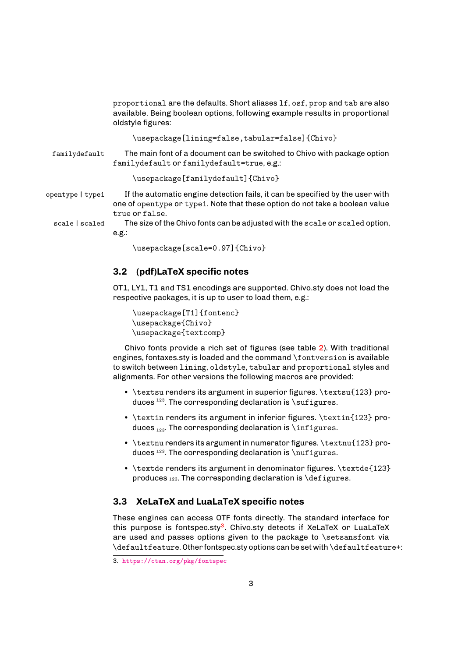proportional are the defaults. Short aliases lf, osf, prop and tab are also available. Being boolean options, following example results in proportional oldstyle figures:

\usepackage[lining=false,tabular=false]{Chivo}

familydefault The main font of a document can be switched to Chivo with package option familydefault or familydefault=true, e.g.:

\usepackage[familydefault]{Chivo}

opentype | type1 If the automatic engine detection fails, it can be specified by the user with one of opentype or type1. Note that these option do not take a boolean value true or false.

scale | scaled The size of the Chivo fonts can be adjusted with the scale or scaled option, e.g.:

\usepackage[scale=0.97]{Chivo}

## <span id="page-2-0"></span>**3.2 (pdf)LaTeX specific notes**

OT1, LY1, T1 and TS1 encodings are supported. Chivo.sty does not load the respective packages, it is up to user to load them, e.g.:

```
\usepackage[T1]{fontenc}
\usepackage{Chivo}
\usepackage{textcomp}
```
Chivo fonts provide a rich set of figures (see table [2\)](#page-14-0). With traditional engines, fontaxes.sty is loaded and the command \fontversion is available to switch between lining, oldstyle, tabular and proportional styles and alignments. For other versions the following macros are provided:

- \textsu renders its argument in superior figures. \textsu{123} produces  $^{123}$ . The corresponding declaration is \sufigures.
- \textin renders its argument in inferior figures. \textin{123} produces  $_{123}$ . The corresponding declaration is \infigures.
- \textnu renders its argument in numerator figures. \textnu{123} produces  $123$ . The corresponding declaration is \nufigures.
- \textde renders its argument in denominator figures. \textde{123} produces 123. The corresponding declaration is \defigures.

## <span id="page-2-1"></span>**3.3 XeLaTeX and LuaLaTeX specific notes**

These engines can access OTF fonts directly. The standard interface for this purpose is fontspec.sty<sup>[3](#page-2-2)</sup>. Chivo.sty detects if XeLaTeX or LuaLaTeX are used and passes options given to the package to \setsansfont via \defaultfeature. Other fontspec.sty options can be set with \defaultfeature+:

<span id="page-2-2"></span><sup>3.</sup> <https://ctan.org/pkg/fontspec>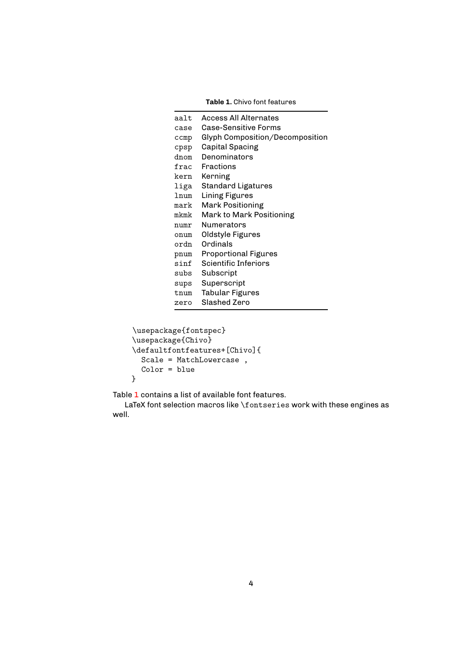**Table 1.** Chivo font features

<span id="page-3-0"></span>

| aalt            | Access All Alternates           |
|-----------------|---------------------------------|
| case            | Case-Sensitive Forms            |
| $\texttt{comp}$ | Glyph Composition/Decomposition |
| cpsp            | <b>Capital Spacing</b>          |
| dnom            | Denominators                    |
| frac            | Fractions                       |
| kern            | Kerning                         |
| liga            | <b>Standard Ligatures</b>       |
| lnum            | Lining Figures                  |
| mark            | Mark Positioning                |
| mkmk            | Mark to Mark Positioning        |
| numr            | Numerators                      |
| onum            | Oldstyle Figures                |
| ordn            | Ordinals                        |
| pnum            | Proportional Figures            |
| sinf            | Scientific Inferiors            |
| subs            | Subscript                       |
| sups            | Superscript                     |
| tnum            | Tabular Figures                 |
| zero            | Slashed Zero                    |

```
\usepackage{fontspec}
\usepackage{Chivo}
\defaultfontfeatures+[Chivo]{
  Scale = MatchLowercase ,
  Color = blue
}
```
Table [1](#page-3-0) contains a list of available font features.

LaTeX font selection macros like \fontseries work with these engines as well.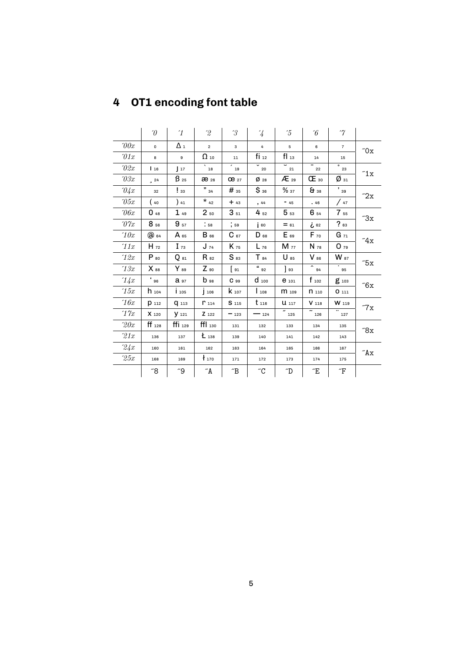|                        | $\mathcal O$        | $\mathcal{I}$     | $\hat{z}$            | $\hat{\mathcal{S}}$    | $\frac{7}{4}$     | $\ddot{5}$                   | $\hat{6}$                 | $\gamma$               |                      |
|------------------------|---------------------|-------------------|----------------------|------------------------|-------------------|------------------------------|---------------------------|------------------------|----------------------|
| $\partial \theta x$    | 0                   | Δ1                | $\overline{2}$       | з                      | 4                 | 5                            | 6                         | 7                      | $^{\prime\prime}$ Ox |
| $\partial 1x$          | 8                   | 9                 | $\Omega$ 10          | 11                     | $fi_{12}$         | $f _{13}$                    | 14                        | 15                     |                      |
| $\partial 2x$          | 116                 | 17                | 18                   | 19                     | 20                | 21                           | 22                        | $\bullet$<br>23        | $^{\prime\prime}1x$  |
| $\partial \Im x$       | $\frac{24}{5}$      | $\beta$ 25        | $\overline{a}$ 26    | <b>CC</b> 27           | $\emptyset$ 28    | $AE_{29}$                    | Œ зо                      | $\varnothing$ 31       |                      |
| $\partial \mathcal{L}$ | 32                  | $\mathbf{I}_{33}$ | $\frac{11}{34}$      | #35                    | \$ 36             | %37                          | $8F$ 38                   | $\frac{1}{39}$         | "2x                  |
| $\partial 5x$          | (40                 | $\big)$ 41        | $\star$ $_{42}$      | $+ 43$                 | , 44              | $-45$                        | .46                       | /47                    |                      |
| $\hat{v}$              | 0 <sub>48</sub>     | 149               | 250                  | 351                    | 4 52              | $5_{53}$                     | 6 54                      | 7 <sub>55</sub>        | $\sqrt[2^n]{3x}$     |
| $\partial \gamma_x$    | 8 56                | 957               | :58                  | ; 59                   | $i$ 60            | $= 61$                       | $\dot{c}$ 62              | $?$ 63                 |                      |
| 10x                    | @ 64                | $A_{65}$          | $B_{66}$             | $C_{67}$               | $D_{68}$          | $E_{69}$                     | $F_{70}$                  | $G_{71}$               | 4x                   |
| 11x                    | $H_{72}$            | $I_{73}$          | J 74                 | K 75                   | $L_{76}$          | $M_{77}$                     | N 78                      | $O_{79}$               |                      |
| 12x                    | $P_{80}$            | $Q_{81}$          | $R_{82}$             | $S_{83}$               | $T_{84}$          | $U_{85}$                     | $V_{86}$                  | <b>W</b> <sub>87</sub> | ″5x                  |
| 13x                    | $X_{88}$            | $Y_{89}$          | $Z_{90}$             | [ 91                   | $\frac{4}{92}$    | $]$ 93                       | $\hat{\phantom{a}}$<br>94 | 95                     |                      |
| 14x                    | $\ddot{\bullet}$ 96 | a 97              | b 98                 | C <sub>99</sub>        | $d$ 100           | e <sub>101</sub>             | $f_{102}$                 | $g_{103}$              | $^{\prime\prime}6x$  |
| $^\prime 15x$          | $h_{104}$           | 1105              | $j_{106}$            | K 107                  | $\frac{1}{108}$   | m 109                        | n 110                     | 0 111                  |                      |
| $\int$ 16x             | <b>p</b> 112        | $Q_{113}$         | $\Gamma$ 114         | S 115                  | $t_{116}$         | U 117                        | V 118                     | W 119                  | $^{\prime\prime}$ 7x |
| $\it 17x$              | X 120               | V 121             | Z 122                | $-123$                 | $-124$            | $\boldsymbol{\theta}$<br>125 | 126                       | 127                    |                      |
| $\sqrt[2]{20x}$        | $ff_{128}$          | $ffi$ 129         | $ffl$ <sub>130</sub> | 131                    | 132               | 133                          | 134                       | 135                    | $^{\prime\prime}8x$  |
| 21x                    | 136                 | 137               | $L_{138}$            | 139                    | 140               | 141                          | 142                       | 143                    |                      |
| 24x                    | 160                 | 161               | 162                  | 163                    | 164               | 165                          | 166                       | 167                    | $^{\prime\prime}$ Ax |
| $25x$                  | 168                 | 169               | $\frac{1}{170}$      | 171                    | 172               | 173                          | 174                       | 175                    |                      |
|                        | ″8                  | ″9                | $\sqrt{\phantom{a}}$ | $\sqrt{\phantom{a}}$ B | $^\circ \text{C}$ | $^\circ \texttt{D}$          | ″E                        | $\sqrt{\text{F}}$      |                      |

# <span id="page-4-0"></span>4 OT1 encoding font table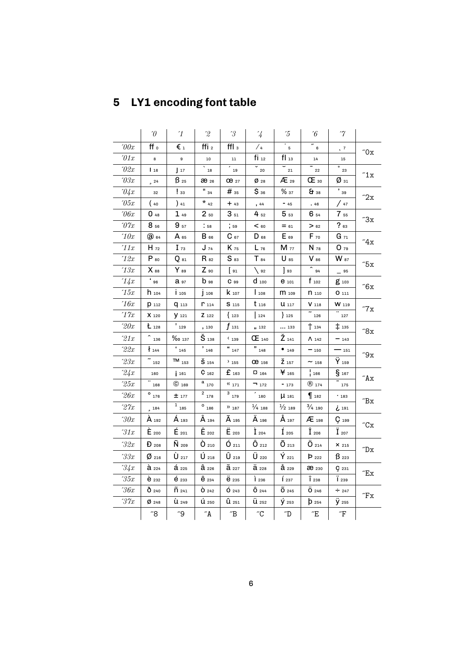|                        | $\mathcal{O}$      | $\dot{1}$          | $\hat{z}$                | $\cdot\!\!\:\!3$      | $\frac{7}{4}$          | $\sqrt{5}$               | '6                            | $\gamma$                    |                               |
|------------------------|--------------------|--------------------|--------------------------|-----------------------|------------------------|--------------------------|-------------------------------|-----------------------------|-------------------------------|
| $\partial \theta x$    | ff <sub>o</sub>    | € 1                | ffi 2                    | ffl <sub>3</sub>      | $/$ 4                  | $\mathbf 5$              | $\overline{5}$                | $\sim$ 7                    | $^{\prime\prime}0x$           |
| $\partial 1x$          | 8                  | 9                  | ${\bf 10}$               | $11\,$                | $fi_{12}$              | $f _{13}$                | $\mathbf{14}$                 | 15                          |                               |
| $\partial 2x$          | 116                | J17                | $\lq$ 18                 | $^\prime$ 19          | $\frac{1}{20}$         | 21                       | 22                            | $\overline{\circ}$ 23       | $^{\circ}1\mathrm{x}$         |
| $\partial \Im x$       | 524                | $\beta$ 25         | 2626                     | <b>08</b> 27          | $\emptyset$ 28         | Æ 29                     | Œ зо                          | $\varnothing$ 31            |                               |
| $\partial \mathcal{L}$ | 32                 | $\mathbf{I}_{33}$  | $\frac{1}{34}$           | #35                   | \$36                   | %37                      | ਓ 38                          | $\overline{\phantom{a}}$ 39 | "2x                           |
| $\partial 5x$          | (40                | 41                 | $\star$ $_{42}$          | $+43$                 | , 44                   | $-45$                    | .46                           | /47                         |                               |
| $\theta$ 6x            | $0$ 48             | $1\!49}$           | 250                      | $\mathbf{3}$ $_{51}$  | 4 52                   | 5 53                     | 6 54                          | 7 55                        | $^{\prime}3x$                 |
| $\partial \gamma_x$    | 8 56               | 957                | :58                      | ; 59                  | $<$ 60                 | $= 61$                   | > 62                          | $?$ 63                      |                               |
| 10x                    | @ 64               | $A_{65}$           | $B_{66}$                 | $C_{67}$              | $D_{68}$               | $E_{69}$                 | $F_{70}$                      | $G_{71}$                    | $^{\prime\prime}4x$           |
| 11x                    | $H_{72}$           | $I_{73}$           | J 74                     | K 75                  | $L_{76}$               | M 77                     | N 78                          | $O_{79}$                    |                               |
| 12x                    | $P_{80}$           | $Q_{81}$           | R 82                     | S 83                  | T 84                   | $U_{85}$                 | $V_{86}$                      | <b>W</b> 87                 | $^{\prime}$ 5x                |
| 13x                    | $X_{88}$           | $Y_{.89}$          | $Z_{90}$                 | $\left[\right.$ 91    | 92                     | $\frac{1}{3}$            | $\frac{1}{2}$ 94              | $-95$                       |                               |
| 14x                    | $^4$ 96            | a <sub>97</sub>    | p as                     | C <sub>99</sub>       | $d_{100}$              | <b>e</b> 101             | $f_{102}$                     | $g_{103}$                   | $^{\circ}6x$                  |
| 15x                    | $h_{104}$          | 105                | $j_{106}$                | K 107                 | $\frac{1}{108}$        | m 109                    | n 110                         | $0\,$ 111                   |                               |
| 16x                    | <b>p</b> 112       | Q 113              | $\Gamma$ 114             | S 115                 | $t_{116}$              | U 117                    | V 118                         | W 119                       | 7x                            |
| 17x                    | X 120              | Y 121              | Z 122                    | $\left\{ \right.$ 123 | 124                    | ${}^{125}$               | $\widetilde{\phantom{a}}$ 126 | 127                         |                               |
| 20x                    | $\mathbf{t}_{128}$ | $^\mathrm{I}$ 129  | , 130                    | $f_{131}$             | ,, 132                 | 133                      | $\dagger$ 134                 | ‡ 135                       | $^{\prime\prime}8x$           |
| 21x                    | 136                | %0 137             | $\check{S}$ 138          | $\langle 139$         | Œ 140                  | $\check{\mathsf{Z}}$ 141 | A 142                         | $-143$                      |                               |
| $22x$                  | 144                | 145                | $^{\prime}$ 146          | $\frac{u}{147}$       | $\frac{1}{148}$        | • 149                    | $-150$                        | $-151$                      | $^{\prime\prime}9x$           |
| 23x                    | 152                | TM $_{153}$        | $\check{\mathbf{S}}$ 154 | $\rightarrow 155$     | OB 156                 | Ž 157                    | $\sim$ 158                    | $\ddot{Y}$ 159              |                               |
| 24x                    | 160                | 161                | $\phi$ <sub>162</sub>    | $E_{163}$             | $\alpha$ 164           | $\frac{1}{165}$          | $\frac{1}{1}$ 166             | $\S$ 167                    | $K^*$ Ax                      |
| 25x                    | 168                | $\circledcirc$ 169 | a $_{170}$               | (171)                 | $-172$                 | $-173$                   | $\circledR$ 174               | 175                         |                               |
| 26x                    | $^{\circ}$ 176     | ± 177              | $\overline{2}$ 178       | $\overline{3}$ 179    | 180                    | µ 181                    | $\P$ 182                      | .183                        | $\mathcal{B}x$                |
| 27x                    | , 184              | $^{\rm 1}$ 185     | $^{\circ}$ 186           | $v_{187}$             | $\frac{1}{4}$ 188      | $\frac{1}{2}$ 189        | $\frac{3}{4}$ 190             | 191 ق                       |                               |
| 30x                    | A 192              | A 193              | 194                      | à <sub>195</sub>      | $\ddot{A}$ 196         | Å <sub>197</sub>         | Æ 198                         | $Q_{199}$                   |                               |
| 31x                    | $\dot{E}$ 200      | $\acute{E}$ 201    | $\hat{E}$ 202            | $\ddot{E}$ 203        | $\dot{\mathbf{I}}$ 204 | $\mathbf{I}$ 205         | $\hat{I}$ 206                 | $\ddot{\mathbf{I}}$ 207     | $^\circ \text{Cx}$            |
| 32x                    | $\mathbf{D}_{208}$ | $\tilde{N}$ 209    | $\ddot{O}$ 210           | $0_{211}$             | $\hat{O}$ 212          | $\tilde{O}$ 213          | $\ddot{O}$ 214                | $\times$ 215                |                               |
| 33x                    | $\emptyset$ 216    | $\dot{U}$ 217      | $\bigcup_{218}$          | $\hat{U}$ 219         | $\ddot{\text{U}}$ 220  | $\acute{\Upsilon}$ 221   | $P_{222}$                     | $\beta$ 223                 | ″Dx                           |
| 34x                    | à 224              | á 225              | $\mathbf{\hat{a}}_{226}$ | $\tilde{a}$ 227       | $\ddot{a}$ 228         | å 229                    | æ 230                         | Q231                        |                               |
| $\sqrt[3]{3x}$         | $\dot{e}$ 232      | $\acute{e}$ 233    | <b>e</b> 234             | $\ddot{\theta}$ 235   | <sup>236</sup>         | $\int 237$               | $\hat{I}$ 238                 | $\overline{1}$ 239          | $E_{\rm X}$                   |
| 36x                    | 0240               | $\tilde{n}_{241}$  | $\dot{O}$ 242            | 0243                  | 0244                   | $\tilde{O}$ 245          | $\ddot{\text{O}}$ 246         | $\div$ 247                  | $\sqrt{\mathrm{F}}\mathrm{x}$ |
| $\sqrt[3]{x}$          | $Ø$ 248            | <b>U</b> 249       | <b>Ú</b> 250             | $\hat{u}$ 251         | Ü 252                  | $\acute{y}$ 253          | <b>p</b> 254                  | $\ddot{y}$ 255              |                               |
|                        | ″8                 | ~9                 | $\mathcal{L}^*$          | $\tilde{\mathcal{B}}$ | $^\circ \text{C}$      | ″D                       | ″E                            | $\sqrt{\text{F}}$           |                               |

# <span id="page-5-0"></span>5 LY1 encoding font table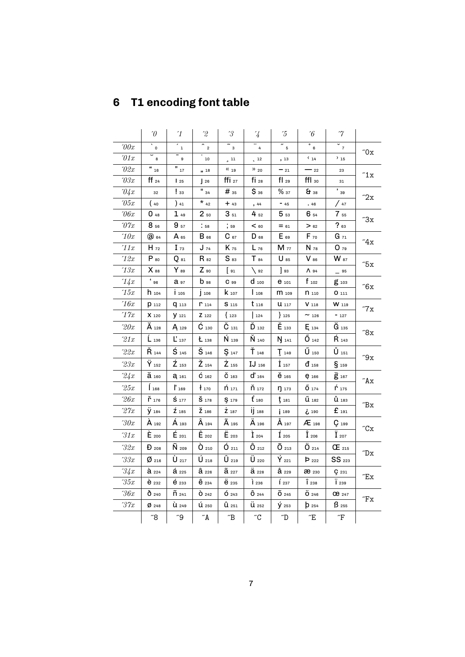<span id="page-6-0"></span>

|  |  |  |  |  | 6 T1 encoding font table |  |  |
|--|--|--|--|--|--------------------------|--|--|
|--|--|--|--|--|--------------------------|--|--|

|                        | $\mathcal{O}$                       | $\dot{1}$                              | $\hat{z}$                   | $\mathcal{\mathcal{G}}$                       | $\it 4$                         | $\sqrt{5}$               | $\emph{6}$                              | $\gamma$                    |                     |
|------------------------|-------------------------------------|----------------------------------------|-----------------------------|-----------------------------------------------|---------------------------------|--------------------------|-----------------------------------------|-----------------------------|---------------------|
| $\hat{v}$              | $\ddot{\phantom{a}}$ 0              | $\begin{bmatrix} 7 \\ 1 \end{bmatrix}$ | $\overline{a}$              | $z_{3}$                                       | $\overline{\cdot}$ <sub>4</sub> | $\overline{5}$           | $\overline{\phantom{0}}$ $\phantom{0}6$ | $\overline{v}_7$            |                     |
| $\mathcal{O}1x$        | 8                                   | $\mathsf g$                            | ${\bf 10}$                  | $\sqrt{11}$                                   | .12                             | , 13                     | $\langle$ $_{14}$                       | $\rangle$ 15                | $^{\prime\prime}0x$ |
| $\partial 2x$          | $\begin{array}{c} 4 \end{array}$ 16 | $\rlap{.}^{\textbf{\textit{m}}}$ 17    | ,, 18                       | $\frac{4}{19}$                                | $v_{20}$                        | $-21$                    | $-22$                                   | 23                          | $^{\prime\prime}1x$ |
| $\partial \Im x$       | $H_{24}$                            | 125                                    | 126                         | $ffi_{27}$                                    | $fi_{28}$                       | fl <sub>29</sub>         | $fff$ $_{30}$                           | 31                          |                     |
| $\partial \mathcal{L}$ | 32                                  | $\mathbf{I}_{33}$                      | $\frac{1}{34}$              | $#$ 35                                        | \$36                            | %37                      | $\mathbf{G}$ 38                         | $^{\prime}$ 39              | "2x                 |
| $\it 05x$              | (40                                 | 41                                     | $\star$ $_{42}$             | $+43$                                         | , 44                            | $-45$                    | .46                                     | /47                         |                     |
| $\partial$ 6x          | O 48                                | $1\!$ 49                               | 250                         | 351                                           | 4 52                            | 53                       | 6 54                                    | 7 <sub>55</sub>             | "3x                 |
| $\partial \gamma_x$    | 856                                 | 9 57                                   | .58                         | ; 59                                          | $<$ 60                          | $= 61$                   | > 62                                    | $?$ 63                      |                     |
| 10x                    | @ 64                                | A 65                                   | $B_{66}$                    | $C_{67}$                                      | D 68                            | E 69                     | $F_{70}$                                | $G_{71}$                    | 4x                  |
| 11x                    | H 72                                | $I_{73}$                               | $J_{74}$                    | K 75                                          | $L_{76}$                        | $M_{77}$                 | $N_{78}$                                | $O_{79}$                    |                     |
| 12x                    | $P_{80}$                            | $Q_{81}$                               | R 82                        | S 83                                          | $T_{84}$                        | $U_{85}$                 | $V_{86}$                                | $W_{87}$                    | $^{\circ}5x$        |
| $\it 13x$              | $X_{88}$                            | $Y_{89}$                               | $Z_{90}$                    | $\left[\begin{array}{cc}91\end{array}\right]$ | $\sqrt{92}$                     | ] 93                     | A 94                                    | $-95$                       |                     |
| 14x                    | $^{4}$ 96                           | a 97                                   | b 98                        | C <sub>99</sub>                               | $d_{100}$                       | <b>e</b> 101             | $f_{102}$                               | $g_{103}$                   | $^{\prime\prime}6x$ |
| $^\prime 15x$          | $h_{104}$                           | <i>i</i> 105                           | $j_{106}$                   | K 107                                         | $\frac{1}{108}$                 | m 109                    | n 110                                   | $\mathbf 0$ 111             |                     |
| 16x                    | <b>p</b> 112                        | Q 113                                  | $\Gamma$ 114                | $S_{115}$                                     | $t_{116}$                       | U 117                    | V118                                    | W 119                       | 7x                  |
| 17x                    | X 120                               | Y 121                                  | Z 122                       | $\{123$                                       | 124                             | ${}^{125}$               | $\sim$ 126                              | $-127$                      |                     |
| 20x                    | $\overline{A}$ 128                  | $A_{129}$                              | $\acute{C}$ 130             | $\tilde{C}$ 131                               | $\tilde{D}$ 132                 | $\tilde{E}$ 133          | E <sub>2</sub> 134                      | $\bar{G}$ 135               | $^{\prime\prime}8x$ |
| 21x                    | $\mathsf{L}_{136}$                  | $L_{137}$                              | $\mathbf{t}$ 138            | $\acute{N}$ 139                               | N 140                           | N 141                    | $\tilde{\mathbf{O}}$ 142                | $\acute{R}$ 143             |                     |
| 22x                    | Ř <sub>144</sub>                    | $\acute{\textrm{S}}$ 145               | $\check{\mathbf{S}}$ 146    | $S_{147}$                                     | $\check{T}$ 148                 | $\overline{I}$ 149       | $\mathring{U}$ 150                      | $\mathring{\textsf{U}}$ 151 | $^{\prime\prime}9x$ |
| 23x                    | $\ddot{Y}$ 152                      | $\acute{\text{Z}}$ 153                 | Ž <sub>154</sub>            | $\dot{Z}$ 155                                 | IJ <sub>156</sub>               | $\dot{\mathbf{I}}$ 157   | $\mathbf{d}$ 158                        | $\S$ 159                    |                     |
| 24x                    | <b>ă</b> 160                        | <b>a</b> 161                           | 6162                        | C 163                                         | $d'$ 164                        | $\check{\mathbf{e}}$ 165 | Q 166                                   | $\breve{\mathbf{g}}$ 167    | $K^*$ Ax            |
| 25x                    | $\int 168$                          | $\mathbf{r}_{169}$                     | 1170                        | $n_{171}$                                     | <b>ň</b> 172                    | $\eta$ 173               | Ő 174                                   | $r_{175}$                   |                     |
| 26x                    | $\check{r}$ 176                     | $\mathbf{S}_{177}$                     | Š 178                       | S <sub>179</sub>                              | $t'$ 180                        | $t_{181}$                | Ű 182                                   | U 183                       | $\mathcal{B}x$      |
| $27x$                  | ÿ 184                               | $\acute{\text{Z}}$ 185                 | $\check{\mathsf{Z}}$ 186    | $\dot{Z}$ 187                                 | <b>I</b> 188                    | 189                      | $\dot{c}$ 190                           | $E_{191}$                   |                     |
| 30x                    | A 192                               | A 193                                  | $\hat{A}$ 194               | A 195                                         | Ä <sub>196</sub>                | Å 197                    | Æ 198                                   | $Q_{199}$                   | $^{\prime}$ Cx      |
| 31x                    | $\tilde{E}$ 200                     | $\acute{E}$ 201                        | $\hat{E}$ 202               | $\ddot{E}$ 203                                | $\dot{\mathbf{I}}$ 204          | $\dot{\mathbf{I}}$ 205   | $\hat{I}$ 206                           | $\ddot{\mathbf{I}}$ 207     |                     |
| 32x                    | $D_{208}$                           | $\tilde{N}$ 209                        | $\dot{O}$ 210               | $0_{211}$                                     | $\hat{O}$ 212                   | $\tilde{O}$ 213          | $\ddot{O}$ 214                          | Œ 215                       | ″Dx                 |
| $\sqrt{33x}$           | $\emptyset$ 216                     | $\dot{U}$ 217                          | $\bigcup_{218}$             | $\hat{U}$ 219                                 | $\ddot{\text{U}}$ 220           | $\acute{\Upsilon}$ 221   | $P_{222}$                               | SS 223                      |                     |
| 34x                    | à <sub>224</sub>                    | $\acute{a}$ 225                        | â <sub>226</sub>            | $\tilde{a}$ 227                               | $\ddot{a}$ 228                  | å 229                    | æ 230                                   | Q 231                       | ″Ex                 |
| 35x                    | $\dot{e}$ 232                       | $\acute{\textbf{e}}$ 233               | $\hat{\mathbf{\theta}}$ 234 | <b>e</b> 235                                  | <sup>236</sup>                  | $\int 237$               | $\hat{I}$ 238                           | $\overline{1}$ 239          |                     |
| 36x                    | ð 240                               | $\tilde{n}$ 241                        | $\dot{O}$ 242               | 0243                                          | 0244                            | $\tilde{O}$ 245          | $\ddot{O}$ 246                          | <b>CC</b> 247               | $\tilde{}$ Fx       |
| 37x                    | $\emptyset$ 248                     | Ù 249                                  | Ú 250                       | $\hat{u}$ 251                                 | $\ddot{u}$ 252                  | $\acute{\text{y}}$ 253   | <b>D</b> 254                            | $\beta$ 255                 |                     |
|                        | ″8                                  | ″9                                     | ″A                          | $\mathbf{B}$                                  | $^{\prime}$ C                   | ″D                       | ″Ε                                      | $^\circ \text{F}$           |                     |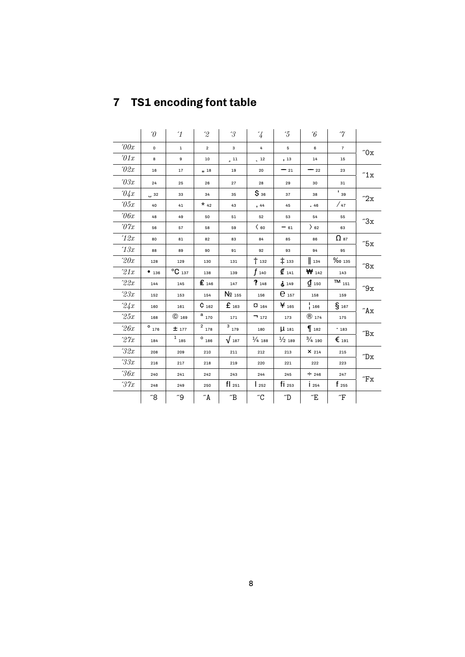<span id="page-7-0"></span>

|                        | $\theta$       | $\mathcal{I}$      | $\hat{z}$               | $\mathcal{C}$ | $\mathcal{L}_{4}$          | $\ddot{5}$          | $\hat{b}$          | $\gamma$            |                           |
|------------------------|----------------|--------------------|-------------------------|---------------|----------------------------|---------------------|--------------------|---------------------|---------------------------|
| 00x                    | 0              | $\mathbf 1$        | $\overline{c}$          | з             | 4                          | 5                   | 6                  | $\overline{7}$      | $^{\prime\prime}0x$       |
| $\partial 1x$          | 8              | 9                  | 10                      | $\sqrt{11}$   | $_{\rm c}$ 12              | , 13                | 14                 | 15                  |                           |
| $\partial 2x$          | 16             | 17                 | ,, 18                   | 19            | 20                         | $-21$               | $-22$              | 23                  | "1x                       |
| $\partial \Im x$       | 24             | 25                 | 26                      | 27            | 28                         | 29                  | 30                 | 31                  |                           |
| $\partial \mathcal{L}$ | <b>32</b>      | 33                 | 34                      | 35            | $\mathsf{S}$ 36            | 37                  | 38                 | $^{\prime}$ 39      | "2x                       |
| $\sqrt{0.5x}$          | 40             | 41                 | $\star$ $_{42}$         | 43            | , 44                       | 45                  | . 46               | /47                 |                           |
| $\hat{v}$              | 48             | 49                 | 50                      | 51            | 52                         | 53                  | 54                 | 55                  | $\sqrt[2^n]{3x}$          |
| $\partial \gamma x$    | 56             | 57                 | 58                      | 59            | $\langle$ 60               | $-61$               | $\overline{)62}$   | 63                  |                           |
| $^\prime 12x$          | 80             | 81                 | 82                      | 83            | 84                         | 85                  | 86                 | $\Omega$ 87         | $^{\circ}5x$              |
| 13x                    | 88             | 89                 | 90                      | 91            | 92                         | 93                  | 94                 | 95                  |                           |
| 20x                    | 128            | 129                | 130                     | 131           | $\dagger$ 132              | $\ddagger$ 133      | $\parallel$ 134    | %0 135              | ″8x                       |
| 21x                    | • 136          | $^{\circ}$ C 137   | 138                     | 139           | $f_{140}$                  | $\not\!\!\!Q$ 141   | $\mathbf{W}_{142}$ | 143                 |                           |
| 22x                    | 144            | 145                | $E_{146}$               | 147           | 2148                       | $4^{149}$           | $\mathbf{d}$ 150   | $\mathsf{TM}_{151}$ | $^{\prime\prime}9x$       |
| 23x                    | 152            | 153                | 154                     | No 155        | 156                        | $e_{157}$           | 158                | 159                 |                           |
| 24x                    | 160            | 161                | $\ddot{C}$ 162          | $E_{163}$     | $Q_{164}$                  | $\frac{1}{2}$ 165   | $\frac{1}{1}$ 166  | $\S$ 167            | $\mathbb{Z} A \mathbb{X}$ |
| 25x                    | 168            | $\circledcirc$ 169 | a $_{\rm 170}$          | 171           | $-172$                     | 173                 | $\circledR$ 174    | 175                 |                           |
| 26x                    | $^{\circ}$ 176 | ± 177              | $^2$ $_{\rm 178}$       | $^3$ 179 $\,$ | 180                        | LL 181              | $\P$ 182           | .183                | $\mathbf{Y}$              |
| 27x                    | 184            | $\mathbf 1$<br>185 | $^{\rm o}$ $_{\rm 186}$ | $\sqrt{187}$  | $\frac{1}{4}$ 188          | $\frac{1}{2}$ 189   | $\frac{3}{4}$ 190  | € 191               |                           |
| 32x                    | 208            | 209                | 210                     | 211           | 212                        | 213                 | $\times$ 214       | 215                 | $\sqrt{\ }$ Dx            |
| 33x                    | 216            | 217                | 218                     | 219           | 220                        | 221                 | 222                | 223                 |                           |
| 36x                    | 240            | 241                | 242                     | 243           | 244                        | 245                 | $\div$ 246         | 247                 | $\sqrt{\text{F}}\text{x}$ |
| 37x                    | 248            | 249                | 250                     | $fl_{251}$    | 1252                       | $fi$ <sub>253</sub> | 1254               | $f_{255}$           |                           |
|                        | ″8             | ″9                 | $\mathcal{L}^*$         | ″B            | $^{\prime\prime} \text{C}$ | ″D                  | ″E                 | $^\circ \text{F}$   |                           |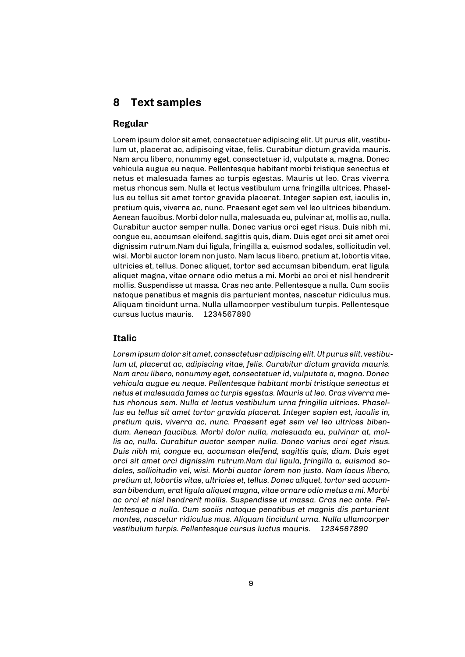# <span id="page-8-0"></span>**8 Text samples**

## **Regular**

Lorem ipsum dolor sit amet, consectetuer adipiscing elit. Ut purus elit, vestibulum ut, placerat ac, adipiscing vitae, felis. Curabitur dictum gravida mauris. Nam arcu libero, nonummy eget, consectetuer id, vulputate a, magna. Donec vehicula augue eu neque. Pellentesque habitant morbi tristique senectus et netus et malesuada fames ac turpis egestas. Mauris ut leo. Cras viverra metus rhoncus sem. Nulla et lectus vestibulum urna fringilla ultrices. Phasellus eu tellus sit amet tortor gravida placerat. Integer sapien est, iaculis in, pretium quis, viverra ac, nunc. Praesent eget sem vel leo ultrices bibendum. Aenean faucibus. Morbi dolor nulla, malesuada eu, pulvinar at, mollis ac, nulla. Curabitur auctor semper nulla. Donec varius orci eget risus. Duis nibh mi, congue eu, accumsan eleifend, sagittis quis, diam. Duis eget orci sit amet orci dignissim rutrum.Nam dui ligula, fringilla a, euismod sodales, sollicitudin vel, wisi. Morbi auctor lorem non justo. Nam lacus libero, pretium at, lobortis vitae, ultricies et, tellus. Donec aliquet, tortor sed accumsan bibendum, erat ligula aliquet magna, vitae ornare odio metus a mi. Morbi ac orci et nisl hendrerit mollis. Suspendisse ut massa. Cras nec ante. Pellentesque a nulla. Cum sociis natoque penatibus et magnis dis parturient montes, nascetur ridiculus mus. Aliquam tincidunt urna. Nulla ullamcorper vestibulum turpis. Pellentesque cursus luctus mauris. 1234567890

# **Italic**

*Lorem ipsum dolor sit amet, consectetuer adipiscing elit. Ut purus elit, vestibulum ut, placerat ac, adipiscing vitae, felis. Curabitur dictum gravida mauris. Nam arcu libero, nonummy eget, consectetuer id, vulputate a, magna. Donec vehicula augue eu neque. Pellentesque habitant morbi tristique senectus et netus et malesuada fames ac turpis egestas. Mauris ut leo. Cras viverra metus rhoncus sem. Nulla et lectus vestibulum urna fringilla ultrices. Phasellus eu tellus sit amet tortor gravida placerat. Integer sapien est, iaculis in, pretium quis, viverra ac, nunc. Praesent eget sem vel leo ultrices bibendum. Aenean faucibus. Morbi dolor nulla, malesuada eu, pulvinar at, mollis ac, nulla. Curabitur auctor semper nulla. Donec varius orci eget risus. Duis nibh mi, congue eu, accumsan eleifend, sagittis quis, diam. Duis eget orci sit amet orci dignissim rutrum.Nam dui ligula, fringilla a, euismod sodales, sollicitudin vel, wisi. Morbi auctor lorem non justo. Nam lacus libero, pretium at, lobortis vitae, ultricies et, tellus. Donec aliquet, tortor sed accumsan bibendum, erat ligula aliquet magna, vitae ornare odio metus a mi. Morbi ac orci et nisl hendrerit mollis. Suspendisse ut massa. Cras nec ante. Pellentesque a nulla. Cum sociis natoque penatibus et magnis dis parturient montes, nascetur ridiculus mus. Aliquam tincidunt urna. Nulla ullamcorper vestibulum turpis. Pellentesque cursus luctus mauris. 1234567890*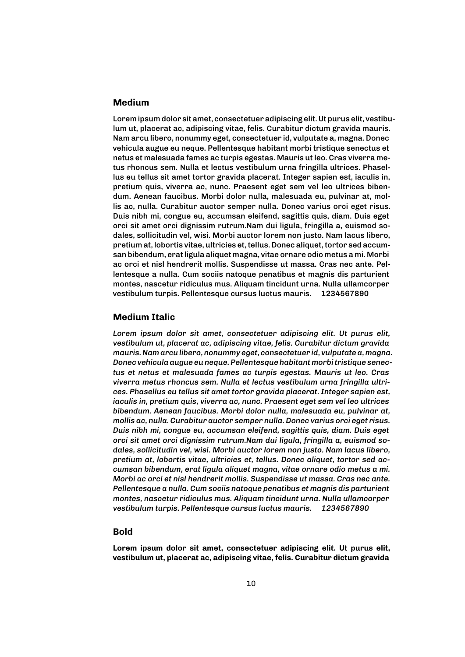#### **Medium**

Lorem ipsum dolor sit amet, consectetuer adipiscing elit. Ut purus elit, vestibulum ut, placerat ac, adipiscing vitae, felis. Curabitur dictum gravida mauris. Nam arcu libero, nonummy eget, consectetuer id, vulputate a, magna. Donec vehicula augue eu neque. Pellentesque habitant morbi tristique senectus et netus et malesuada fames ac turpis egestas. Mauris ut leo. Cras viverra metus rhoncus sem. Nulla et lectus vestibulum urna fringilla ultrices. Phasellus eu tellus sit amet tortor gravida placerat. Integer sapien est, iaculis in, pretium quis, viverra ac, nunc. Praesent eget sem vel leo ultrices bibendum. Aenean faucibus. Morbi dolor nulla, malesuada eu, pulvinar at, mollis ac, nulla. Curabitur auctor semper nulla. Donec varius orci eget risus. Duis nibh mi, congue eu, accumsan eleifend, sagittis quis, diam. Duis eget orci sit amet orci dignissim rutrum.Nam dui ligula, fringilla a, euismod sodales, sollicitudin vel, wisi. Morbi auctor lorem non justo. Nam lacus libero, pretium at, lobortis vitae, ultricies et, tellus. Donec aliquet, tortor sed accumsan bibendum, erat ligula aliquet magna, vitae ornare odio metus a mi. Morbi ac orci et nisl hendrerit mollis. Suspendisse ut massa. Cras nec ante. Pellentesque a nulla. Cum sociis natoque penatibus et magnis dis parturient montes, nascetur ridiculus mus. Aliquam tincidunt urna. Nulla ullamcorper vestibulum turpis. Pellentesque cursus luctus mauris. 1234567890

#### **Medium Italic**

*Lorem ipsum dolor sit amet, consectetuer adipiscing elit. Ut purus elit, vestibulum ut, placerat ac, adipiscing vitae, felis. Curabitur dictum gravida mauris. Nam arcu libero, nonummy eget, consectetuer id, vulputate a, magna. Donec vehicula augue eu neque. Pellentesque habitant morbi tristique senectus et netus et malesuada fames ac turpis egestas. Mauris ut leo. Cras viverra metus rhoncus sem. Nulla et lectus vestibulum urna fringilla ultrices. Phasellus eu tellus sit amet tortor gravida placerat. Integer sapien est, iaculis in, pretium quis, viverra ac, nunc. Praesent eget sem vel leo ultrices bibendum. Aenean faucibus. Morbi dolor nulla, malesuada eu, pulvinar at, mollis ac, nulla. Curabitur auctor semper nulla. Donec varius orci eget risus. Duis nibh mi, congue eu, accumsan eleifend, sagittis quis, diam. Duis eget orci sit amet orci dignissim rutrum.Nam dui ligula, fringilla a, euismod sodales, sollicitudin vel, wisi. Morbi auctor lorem non justo. Nam lacus libero, pretium at, lobortis vitae, ultricies et, tellus. Donec aliquet, tortor sed accumsan bibendum, erat ligula aliquet magna, vitae ornare odio metus a mi. Morbi ac orci et nisl hendrerit mollis. Suspendisse ut massa. Cras nec ante. Pellentesque a nulla. Cum sociis natoque penatibus et magnis dis parturient montes, nascetur ridiculus mus. Aliquam tincidunt urna. Nulla ullamcorper vestibulum turpis. Pellentesque cursus luctus mauris. 1234567890*

#### **Bold**

**Lorem ipsum dolor sit amet, consectetuer adipiscing elit. Ut purus elit, vestibulum ut, placerat ac, adipiscing vitae, felis. Curabitur dictum gravida**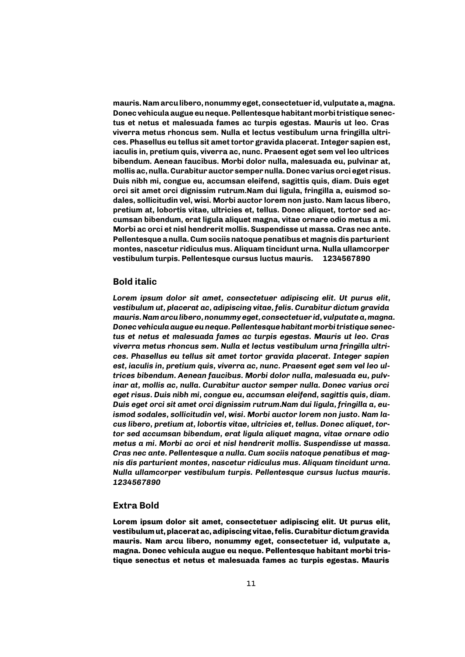**mauris. Nam arcu libero, nonummy eget, consectetuer id, vulputate a, magna. Donec vehicula augue eu neque. Pellentesque habitant morbi tristique senectus et netus et malesuada fames ac turpis egestas. Mauris ut leo. Cras viverra metus rhoncus sem. Nulla et lectus vestibulum urna fringilla ultrices. Phasellus eu tellus sit amet tortor gravida placerat. Integer sapien est, iaculis in, pretium quis, viverra ac, nunc. Praesent eget sem vel leo ultrices bibendum. Aenean faucibus. Morbi dolor nulla, malesuada eu, pulvinar at, mollis ac, nulla. Curabitur auctor semper nulla. Donec varius orci eget risus. Duis nibh mi, congue eu, accumsan eleifend, sagittis quis, diam. Duis eget orci sit amet orci dignissim rutrum.Nam dui ligula, fringilla a, euismod sodales, sollicitudin vel, wisi. Morbi auctor lorem non justo. Nam lacus libero, pretium at, lobortis vitae, ultricies et, tellus. Donec aliquet, tortor sed accumsan bibendum, erat ligula aliquet magna, vitae ornare odio metus a mi. Morbi ac orci et nisl hendrerit mollis. Suspendisse ut massa. Cras nec ante. Pellentesque a nulla. Cum sociis natoque penatibus et magnis dis parturient montes, nascetur ridiculus mus. Aliquam tincidunt urna. Nulla ullamcorper vestibulum turpis. Pellentesque cursus luctus mauris. 1234567890**

#### **Bold italic**

*Lorem ipsum dolor sit amet, consectetuer adipiscing elit. Ut purus elit, vestibulum ut, placerat ac, adipiscing vitae, felis. Curabitur dictum gravida mauris. Nam arcu libero, nonummy eget, consectetuer id, vulputate a, magna. Donec vehicula augue eu neque. Pellentesque habitant morbi tristique senectus et netus et malesuada fames ac turpis egestas. Mauris ut leo. Cras viverra metus rhoncus sem. Nulla et lectus vestibulum urna fringilla ultrices. Phasellus eu tellus sit amet tortor gravida placerat. Integer sapien est, iaculis in, pretium quis, viverra ac, nunc. Praesent eget sem vel leo ultrices bibendum. Aenean faucibus. Morbi dolor nulla, malesuada eu, pulvinar at, mollis ac, nulla. Curabitur auctor semper nulla. Donec varius orci eget risus. Duis nibh mi, congue eu, accumsan eleifend, sagittis quis, diam. Duis eget orci sit amet orci dignissim rutrum.Nam dui ligula, fringilla a, euismod sodales, sollicitudin vel, wisi. Morbi auctor lorem non justo. Nam lacus libero, pretium at, lobortis vitae, ultricies et, tellus. Donec aliquet, tortor sed accumsan bibendum, erat ligula aliquet magna, vitae ornare odio metus a mi. Morbi ac orci et nisl hendrerit mollis. Suspendisse ut massa. Cras nec ante. Pellentesque a nulla. Cum sociis natoque penatibus et magnis dis parturient montes, nascetur ridiculus mus. Aliquam tincidunt urna. Nulla ullamcorper vestibulum turpis. Pellentesque cursus luctus mauris. 1234567890*

#### **Extra Bold**

**Lorem ipsum dolor sit amet, consectetuer adipiscing elit. Ut purus elit, vestibulum ut, placerat ac, adipiscing vitae, felis. Curabitur dictum gravida mauris. Nam arcu libero, nonummy eget, consectetuer id, vulputate a, magna. Donec vehicula augue eu neque. Pellentesque habitant morbi tristique senectus et netus et malesuada fames ac turpis egestas. Mauris**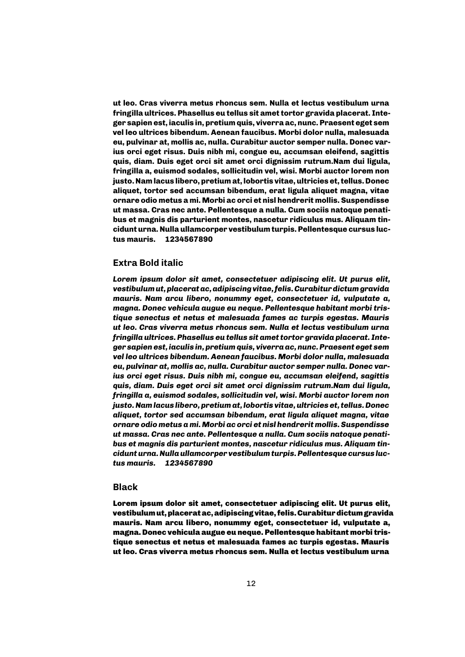**ut leo. Cras viverra metus rhoncus sem. Nulla et lectus vestibulum urna fringilla ultrices. Phasellus eu tellus sit amet tortor gravida placerat. Integer sapien est, iaculis in, pretium quis, viverra ac, nunc. Praesent eget sem vel leo ultrices bibendum. Aenean faucibus. Morbi dolor nulla, malesuada eu, pulvinar at, mollis ac, nulla. Curabitur auctor semper nulla. Donec varius orci eget risus. Duis nibh mi, congue eu, accumsan eleifend, sagittis quis, diam. Duis eget orci sit amet orci dignissim rutrum.Nam dui ligula, fringilla a, euismod sodales, sollicitudin vel, wisi. Morbi auctor lorem non justo. Nam lacus libero, pretium at, lobortis vitae, ultricies et, tellus. Donec aliquet, tortor sed accumsan bibendum, erat ligula aliquet magna, vitae ornare odio metus a mi. Morbi ac orci et nisl hendrerit mollis. Suspendisse ut massa. Cras nec ante. Pellentesque a nulla. Cum sociis natoque penatibus et magnis dis parturient montes, nascetur ridiculus mus. Aliquam tincidunt urna. Nulla ullamcorper vestibulum turpis. Pellentesque cursus luctus mauris. 1234567890**

### **Extra Bold italic**

*Lorem ipsum dolor sit amet, consectetuer adipiscing elit. Ut purus elit, vestibulum ut, placerat ac, adipiscing vitae, felis. Curabitur dictum gravida mauris. Nam arcu libero, nonummy eget, consectetuer id, vulputate a, magna. Donec vehicula augue eu neque. Pellentesque habitant morbi tristique senectus et netus et malesuada fames ac turpis egestas. Mauris ut leo. Cras viverra metus rhoncus sem. Nulla et lectus vestibulum urna fringilla ultrices. Phasellus eu tellus sit amet tortor gravida placerat. Integer sapien est, iaculis in, pretium quis, viverra ac, nunc. Praesent eget sem vel leo ultrices bibendum. Aenean faucibus. Morbi dolor nulla, malesuada eu, pulvinar at, mollis ac, nulla. Curabitur auctor semper nulla. Donec varius orci eget risus. Duis nibh mi, congue eu, accumsan eleifend, sagittis quis, diam. Duis eget orci sit amet orci dignissim rutrum.Nam dui ligula, fringilla a, euismod sodales, sollicitudin vel, wisi. Morbi auctor lorem non justo. Nam lacus libero, pretium at, lobortis vitae, ultricies et, tellus. Donec aliquet, tortor sed accumsan bibendum, erat ligula aliquet magna, vitae ornare odio metus a mi. Morbi ac orci et nisl hendrerit mollis. Suspendisse ut massa. Cras nec ante. Pellentesque a nulla. Cum sociis natoque penatibus et magnis dis parturient montes, nascetur ridiculus mus. Aliquam tincidunt urna. Nulla ullamcorper vestibulum turpis. Pellentesque cursus luctus mauris. 1234567890*

#### **Black**

Lorem ipsum dolor sit amet, consectetuer adipiscing elit. Ut purus elit, vestibulum ut, placerat ac, adipiscing vitae, felis.Curabitur dictum gravida mauris. Nam arcu libero, nonummy eget, consectetuer id, vulputate a, magna. Donec vehicula augue eu neque. Pellentesque habitant morbi tristique senectus et netus et malesuada fames ac turpis egestas. Mauris ut leo. Cras viverra metus rhoncus sem. Nulla et lectus vestibulum urna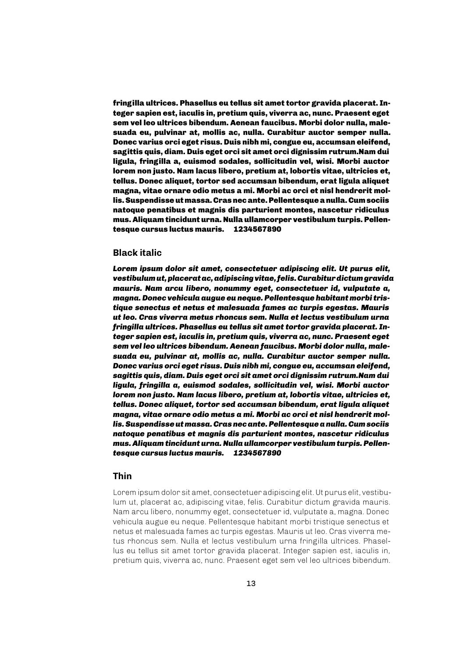fringilla ultrices. Phasellus eu tellus sit amet tortor gravida placerat. Integer sapien est, iaculis in, pretium quis, viverra ac, nunc. Praesent eget sem vel leo ultrices bibendum. Aenean faucibus. Morbi dolor nulla, malesuada eu, pulvinar at, mollis ac, nulla. Curabitur auctor semper nulla. Donec varius orci eget risus. Duis nibh mi, congue eu, accumsan eleifend, sagittis quis, diam. Duis eget orci sit amet orci dignissim rutrum.Nam dui ligula, fringilla a, euismod sodales, sollicitudin vel, wisi. Morbi auctor lorem non justo. Nam lacus libero, pretium at, lobortis vitae, ultricies et, tellus. Donec aliquet, tortor sed accumsan bibendum, erat ligula aliquet magna, vitae ornare odio metus a mi. Morbi ac orci et nisl hendrerit mollis. Suspendisse ut massa. Cras nec ante. Pellentesque a nulla. Cum sociis natoque penatibus et magnis dis parturient montes, nascetur ridiculus mus. Aliquam tincidunt urna. Nulla ullamcorper vestibulum turpis. Pellentesque cursus luctus mauris. 1234567890

## **Black italic**

*Lorem ipsum dolor sit amet, consectetuer adipiscing elit. Ut purus elit, vestibulum ut, placerat ac, adipiscing vitae, felis.Curabitur dictum gravida mauris. Nam arcu libero, nonummy eget, consectetuer id, vulputate a, magna. Donec vehicula augue eu neque. Pellentesque habitant morbi tristique senectus et netus et malesuada fames ac turpis egestas. Mauris ut leo. Cras viverra metus rhoncus sem. Nulla et lectus vestibulum urna fringilla ultrices. Phasellus eu tellus sit amet tortor gravida placerat. Integer sapien est, iaculis in, pretium quis, viverra ac, nunc. Praesent eget sem vel leo ultrices bibendum. Aenean faucibus. Morbi dolor nulla, malesuada eu, pulvinar at, mollis ac, nulla. Curabitur auctor semper nulla. Donec varius orci eget risus. Duis nibh mi, congue eu, accumsan eleifend, sagittis quis, diam. Duis eget orci sit amet orci dignissim rutrum.Nam dui ligula, fringilla a, euismod sodales, sollicitudin vel, wisi. Morbi auctor lorem non justo. Nam lacus libero, pretium at, lobortis vitae, ultricies et, tellus. Donec aliquet, tortor sed accumsan bibendum, erat ligula aliquet magna, vitae ornare odio metus a mi. Morbi ac orci et nisl hendrerit mollis. Suspendisse ut massa. Cras nec ante. Pellentesque a nulla. Cum sociis natoque penatibus et magnis dis parturient montes, nascetur ridiculus mus. Aliquam tincidunt urna. Nulla ullamcorper vestibulum turpis. Pellentesque cursus luctus mauris. 1234567890*

# **Thin**

Lorem ipsum dolor sit amet, consectetuer adipiscing elit. Ut purus elit, vestibulum ut, placerat ac, adipiscing vitae, felis. Curabitur dictum gravida mauris. Nam arcu libero, nonummy eget, consectetuer id, vulputate a, magna. Donec vehicula augue eu neque. Pellentesque habitant morbi tristique senectus et netus et malesuada fames ac turpis egestas. Mauris ut leo. Cras viverra metus rhoncus sem. Nulla et lectus vestibulum urna fringilla ultrices. Phasellus eu tellus sit amet tortor gravida placerat. Integer sapien est, iaculis in, pretium quis, viverra ac, nunc. Praesent eget sem vel leo ultrices bibendum.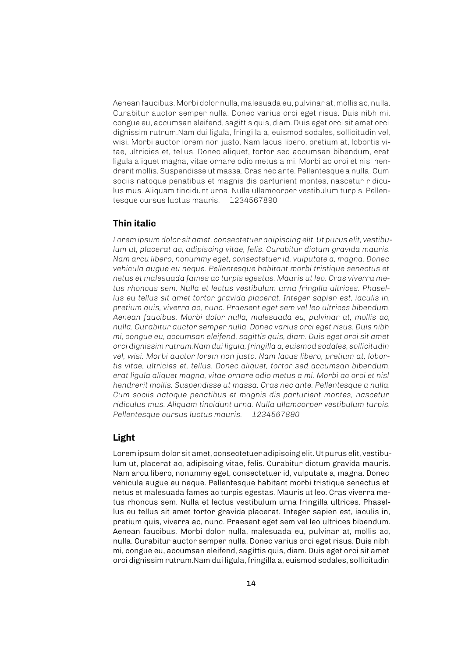Aenean faucibus. Morbi dolor nulla, malesuada eu, pulvinar at, mollis ac, nulla. Curabitur auctor semper nulla. Donec varius orci eget risus. Duis nibh mi, congue eu, accumsan eleifend, sagittis quis, diam. Duis eget orci sit amet orci dignissim rutrum.Nam dui ligula, fringilla a, euismod sodales, sollicitudin vel, wisi. Morbi auctor lorem non justo. Nam lacus libero, pretium at, lobortis vitae, ultricies et, tellus. Donec aliquet, tortor sed accumsan bibendum, erat ligula aliquet magna, vitae ornare odio metus a mi. Morbi ac orci et nisl hendrerit mollis. Suspendisse ut massa. Cras nec ante. Pellentesque a nulla. Cum sociis natoque penatibus et magnis dis parturient montes, nascetur ridiculus mus. Aliquam tincidunt urna. Nulla ullamcorper vestibulum turpis. Pellentesque cursus luctus mauris. 1234567890

# **Thin italic**

*Lorem ipsum dolor sit amet, consectetuer adipiscing elit. Ut purus elit, vestibulum ut, placerat ac, adipiscing vitae, felis. Curabitur dictum gravida mauris. Nam arcu libero, nonummy eget, consectetuer id, vulputate a, magna. Donec vehicula augue eu neque. Pellentesque habitant morbi tristique senectus et netus et malesuada fames ac turpis egestas. Mauris ut leo. Cras viverra metus rhoncus sem. Nulla et lectus vestibulum urna fringilla ultrices. Phasellus eu tellus sit amet tortor gravida placerat. Integer sapien est, iaculis in, pretium quis, viverra ac, nunc. Praesent eget sem vel leo ultrices bibendum. Aenean faucibus. Morbi dolor nulla, malesuada eu, pulvinar at, mollis ac, nulla. Curabitur auctor semper nulla. Donec varius orci eget risus. Duis nibh mi, congue eu, accumsan eleifend, sagittis quis, diam. Duis eget orci sit amet orci dignissim rutrum.Nam dui ligula, fringilla a, euismod sodales, sollicitudin vel, wisi. Morbi auctor lorem non justo. Nam lacus libero, pretium at, lobortis vitae, ultricies et, tellus. Donec aliquet, tortor sed accumsan bibendum, erat ligula aliquet magna, vitae ornare odio metus a mi. Morbi ac orci et nisl hendrerit mollis. Suspendisse ut massa. Cras nec ante. Pellentesque a nulla. Cum sociis natoque penatibus et magnis dis parturient montes, nascetur ridiculus mus. Aliquam tincidunt urna. Nulla ullamcorper vestibulum turpis. Pellentesque cursus luctus mauris. 1234567890*

## **Light**

Lorem ipsum dolor sit amet, consectetuer adipiscing elit. Ut purus elit, vestibulum ut, placerat ac, adipiscing vitae, felis. Curabitur dictum gravida mauris. Nam arcu libero, nonummy eget, consectetuer id, vulputate a, magna. Donec vehicula augue eu neque. Pellentesque habitant morbi tristique senectus et netus et malesuada fames ac turpis egestas. Mauris ut leo. Cras viverra metus rhoncus sem. Nulla et lectus vestibulum urna fringilla ultrices. Phasellus eu tellus sit amet tortor gravida placerat. Integer sapien est, iaculis in, pretium quis, viverra ac, nunc. Praesent eget sem vel leo ultrices bibendum. Aenean faucibus. Morbi dolor nulla, malesuada eu, pulvinar at, mollis ac, nulla. Curabitur auctor semper nulla. Donec varius orci eget risus. Duis nibh mi, congue eu, accumsan eleifend, sagittis quis, diam. Duis eget orci sit amet orci dignissim rutrum.Nam dui ligula, fringilla a, euismod sodales, sollicitudin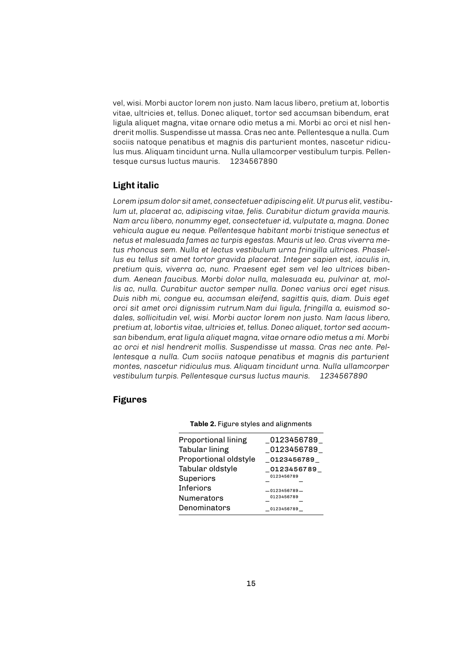vel, wisi. Morbi auctor lorem non justo. Nam lacus libero, pretium at, lobortis vitae, ultricies et, tellus. Donec aliquet, tortor sed accumsan bibendum, erat ligula aliquet magna, vitae ornare odio metus a mi. Morbi ac orci et nisl hendrerit mollis. Suspendisse ut massa. Cras nec ante. Pellentesque a nulla. Cum sociis natoque penatibus et magnis dis parturient montes, nascetur ridiculus mus. Aliquam tincidunt urna. Nulla ullamcorper vestibulum turpis. Pellentesque cursus luctus mauris. 1234567890

# **Light italic**

*Lorem ipsum dolor sit amet, consectetuer adipiscing elit. Ut purus elit, vestibulum ut, placerat ac, adipiscing vitae, felis. Curabitur dictum gravida mauris. Nam arcu libero, nonummy eget, consectetuer id, vulputate a, magna. Donec vehicula augue eu neque. Pellentesque habitant morbi tristique senectus et netus et malesuada fames ac turpis egestas. Mauris ut leo. Cras viverra metus rhoncus sem. Nulla et lectus vestibulum urna fringilla ultrices. Phasellus eu tellus sit amet tortor gravida placerat. Integer sapien est, iaculis in, pretium quis, viverra ac, nunc. Praesent eget sem vel leo ultrices bibendum. Aenean faucibus. Morbi dolor nulla, malesuada eu, pulvinar at, mollis ac, nulla. Curabitur auctor semper nulla. Donec varius orci eget risus. Duis nibh mi, congue eu, accumsan eleifend, sagittis quis, diam. Duis eget orci sit amet orci dignissim rutrum.Nam dui ligula, fringilla a, euismod sodales, sollicitudin vel, wisi. Morbi auctor lorem non justo. Nam lacus libero, pretium at, lobortis vitae, ultricies et, tellus. Donec aliquet, tortor sed accumsan bibendum, erat ligula aliquet magna, vitae ornare odio metus a mi. Morbi ac orci et nisl hendrerit mollis. Suspendisse ut massa. Cras nec ante. Pellentesque a nulla. Cum sociis natoque penatibus et magnis dis parturient montes, nascetur ridiculus mus. Aliquam tincidunt urna. Nulla ullamcorper vestibulum turpis. Pellentesque cursus luctus mauris. 1234567890*

### <span id="page-14-0"></span>**Figures**

| <b>Proportional lining</b> | $\_0123456789\_$ |
|----------------------------|------------------|
| <b>Tabular lining</b>      | $-0123456789$    |
| Proportional oldstyle      | 0123456789       |
| Tabular oldstyle           | $-0123456789$    |
| Superiors                  | 0123456789       |
| <b>Inferiors</b>           | $-0123456789-$   |
| <b>Numerators</b>          | 0123456789       |
| Denominators               | 0123456789       |
|                            |                  |

**Table 2.** Figure styles and alignments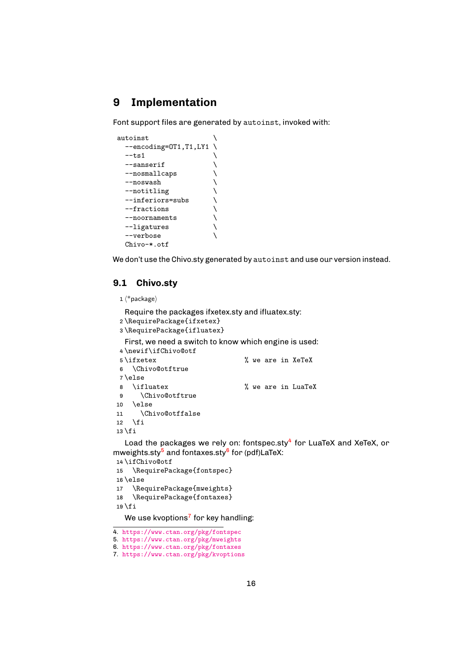# <span id="page-15-0"></span>**9 Implementation**

Font support files are generated by autoinst, invoked with:

```
autoinst \
 --encoding=OT1,T1,LY1
 -ts1 \sqrt{ }--sanserif--nosmallcaps<br>--noswash \
 --noswash \
 --notitling \
 --inferiors=subs \<br>--fractions \
 --fractions \
 --noornaments \
 --ligatures \
 --verbose \
 Chivo-*.otf
```
We don't use the Chivo.sty generated by autoinst and use our version instead.

## <span id="page-15-1"></span>**9.1 Chivo.sty**

 $1$   $\langle$ \*package $\rangle$ 

```
Require the packages ifxetex.sty and ifluatex.sty:
 2 \RequirePackage{ifxetex}
 3 \RequirePackage{ifluatex}
  First, we need a switch to know which engine is used:
 4 \newif\ifChivo@otf
 5 \ifxetex % we are in XeTeX
 6 \Chivo@otftrue
 7 \else
 8 \ifluatex \% we are in LuaTeX
 9 \Chivo@otftrue
10 \else
11 \Chivo@otffalse
12 \overline{12}13 \fi
  4</sup> for LuaTeX and XeTeX, or
56</sup> for (pdf)LaTeX:
14 \ifChivo@otf
```

```
15 \RequirePackage{fontspec}
16 \else
17 \RequirePackage{mweights}
18 \RequirePackage{fontaxes}
19 \fi
```
We use kvoptions<sup>[7](#page-15-5)</sup> for key handling:

<span id="page-15-2"></span><sup>4.</sup> <https://www.ctan.org/pkg/fontspec>

<span id="page-15-3"></span><sup>5.</sup> <https://www.ctan.org/pkg/mweights>

<span id="page-15-4"></span><sup>6.</sup> <https://www.ctan.org/pkg/fontaxes>

<span id="page-15-5"></span><sup>7.</sup> <https://www.ctan.org/pkg/kvoptions>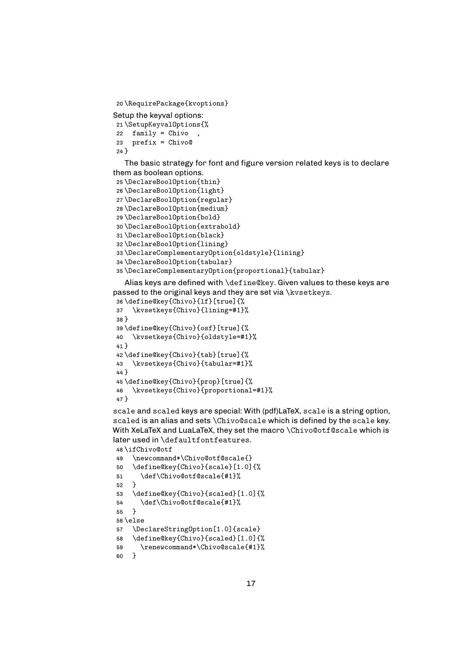```
20 \RequirePackage{kvoptions}
Setup the keyval options:
21 \SetupKeyvalOptions{%
22 family = Chivo ,
23 prefix = Chivo@
24 }
  The basic strategy for font and figure version related keys is to declare
them as boolean options.
```

```
25 \DeclareBoolOption{thin}
26 \DeclareBoolOption{light}
27 \DeclareBoolOption{regular}
28 \DeclareBoolOption{medium}
29 \DeclareBoolOption{bold}
30 \DeclareBoolOption{extrabold}
31 \DeclareBoolOption{black}
32 \DeclareBoolOption{lining}
33 \DeclareComplementaryOption{oldstyle}{lining}
34 \DeclareBoolOption{tabular}
```
\DeclareComplementaryOption{proportional}{tabular}

Alias keys are defined with \define@key. Given values to these keys are passed to the original keys and they are set via \kvsetkeys.

```
36 \define@key{Chivo}{lf}[true]{%
37 \kvsetkeys{Chivo}{lining=#1}%
38 }
39 \define@key{Chivo}{osf}[true]{%
40 \kvsetkeys{Chivo}{oldstyle=#1}%
41 }
42 \define@key{Chivo}{tab}[true]{%
43 \kvsetkeys{Chivo}{tabular=#1}%
44 }
45 \define@key{Chivo}{prop}[true]{%
46 \kvsetkeys{Chivo}{proportional=#1}%
47 }
```
scale and scaled keys are special: With (pdf)LaTeX, scale is a string option, scaled is an alias and sets \Chivo@scale which is defined by the scale key. With XeLaTeX and LuaLaTeX, they set the macro \Chivo@otf@scale which is later used in \defaultfontfeatures. \ifChivo@otf

```
49 \newcommand*\Chivo@otf@scale{}
50 \define@key{Chivo}{scale}[1.0]{%
51 \def\Chivo@otf@scale{#1}%
52 }
53 \define@key{Chivo}{scaled}[1.0]{%
54 \def\Chivo@otf@scale{#1}%
55 }
56 \else
57 \DeclareStringOption[1.0]{scale}
58 \define@key{Chivo}{scaled}[1.0]{%
59 \renewcommand*\Chivo@scale{#1}%
60 }
```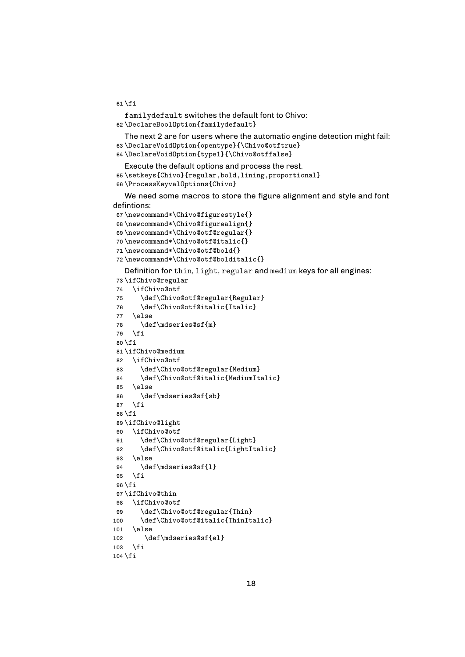\fi

familydefault switches the default font to Chivo: \DeclareBoolOption{familydefault}

The next 2 are for users where the automatic engine detection might fail: \DeclareVoidOption{opentype}{\Chivo@otftrue}

```
64 \DeclareVoidOption{type1}{\Chivo@otffalse}
```
Execute the default options and process the rest.

\setkeys{Chivo}{regular,bold,lining,proportional}

\ProcessKeyvalOptions{Chivo}

We need some macros to store the figure alignment and style and font defintions:

```
67 \newcommand*\Chivo@figurestyle{}
68 \newcommand*\Chivo@figurealign{}
69 \newcommand*\Chivo@otf@regular{}
70 \newcommand*\Chivo@otf@italic{}
71 \newcommand*\Chivo@otf@bold{}
72 \newcommand*\Chivo@otf@bolditalic{}
```
Definition for thin, light, regular and medium keys for all engines:

```
73 \ifChivo@regular
74 \ifChivo@otf
75 \def\Chivo@otf@regular{Regular}
76 \def\Chivo@otf@italic{Italic}
77 \else
78 \def\mdseries@sf{m}
79 \fi
80 \fi
81 \ifChivo@medium
82 \ifChivo@otf
83 \def\Chivo@otf@regular{Medium}
84 \def\Chivo@otf@italic{MediumItalic}
85 \else
86 \def\mdseries@sf{sb}
87 \fi
88 \fi
89 \ifChivo@light
90 \ifChivo@otf
91 \def\Chivo@otf@regular{Light}
92 \def\Chivo@otf@italic{LightItalic}
93 \else
94 \def\mdseries@sf{l}
95 \quad \text{If}96 \fi
97 \ifChivo@thin
98 \ifChivo@otf
99 \def\Chivo@otf@regular{Thin}
100 \def\Chivo@otf@italic{ThinItalic}
101 \else
102 \def\mdseries@sf{el}
103 \fi
104 \fi
```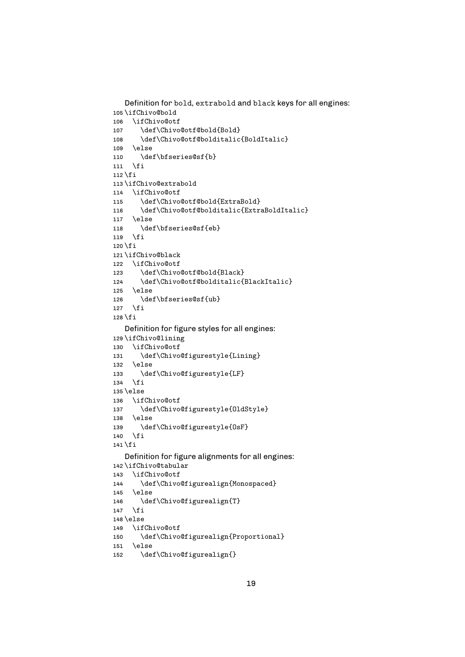```
Definition for bold, extrabold and black keys for all engines:
105 \ifChivo@bold
106 \ifChivo@otf
107 \def\Chivo@otf@bold{Bold}
108 \def\Chivo@otf@bolditalic{BoldItalic}
109 \else
110 \def\bfseries@sf{b}
111 \ifmmode \big\vert\else 111 \fi \fi
112 \fi
113 \ifChivo@extrabold
114 \ifChivo@otf
115 \def\Chivo@otf@bold{ExtraBold}
116 \def\Chivo@otf@bolditalic{ExtraBoldItalic}
117 \else
118 \def\bfseries@sf{eb}
119 \fi
120 \fi
121 \ifChivo@black
122 \ifChivo@otf
123 \def\Chivo@otf@bold{Black}
124 \def\Chivo@otf@bolditalic{BlackItalic}
125 \else
126 \def\bfseries@sf{ub}
127 \fi
128 \fi
  Definition for figure styles for all engines:
129 \ifChivo@lining
130 \ifChivo@otf
131 \def\Chivo@figurestyle{Lining}
132 \else
133 \def\Chivo@figurestyle{LF}
134 \fi
135 \else
136 \ifChivo@otf
137 \def\Chivo@figurestyle{OldStyle}
138 \else
139 \def\Chivo@figurestyle{OsF}
140 \fi
141 \fi
  Definition for figure alignments for all engines:
142 \ifChivo@tabular
143 \ifChivo@otf
144 \def\Chivo@figurealign{Monospaced}
145 \else
146 \def\Chivo@figurealign{T}
147 \fi
148 \else
149 \ifChivo@otf
150 \def\Chivo@figurealign{Proportional}
151 \else
```

```
152 \def\Chivo@figurealign{}
```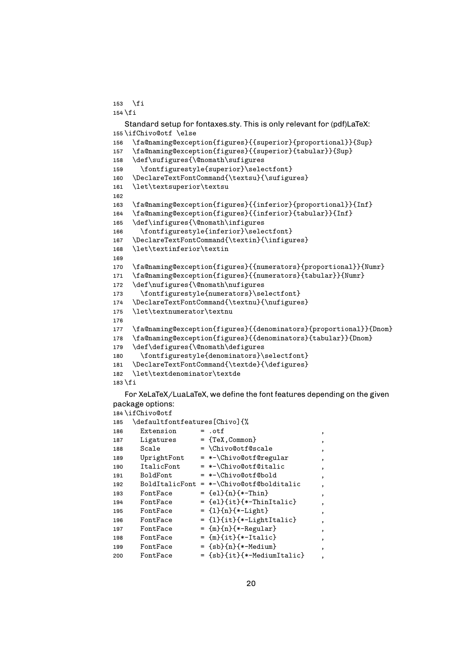```
153 \fi
154 \fi
   Standard setup for fontaxes.sty. This is only relevant for (pdf)LaTeX:
155 \ifChivo@otf \else
156 \fa@naming@exception{figures}{{superior}{proportional}}{Sup}
157 \fa@naming@exception{figures}{{superior}{tabular}}{Sup}
158 \def\sufigures{\@nomath\sufigures
159 \fontfigurestyle{superior}\selectfont}
160 \DeclareTextFontCommand{\textsu}{\sufigures}
161 \let\textsuperior\textsu
162
163 \fa@naming@exception{figures}{{inferior}{proportional}}{Inf}
164 \fa@naming@exception{figures}{{inferior}{tabular}}{Inf}
165 \def\infigures{\@nomath\infigures
166 \fontfigurestyle{inferior}\selectfont}
167 \DeclareTextFontCommand{\textin}{\infigures}
168 \let\textinferior\textin
169
170 \fa@naming@exception{figures}{{numerators}{proportional}}{Numr}
171 \fa@naming@exception{figures}{{numerators}{tabular}}{Numr}
172 \def\nufigures{\@nomath\nufigures
173 \fontfigurestyle{numerators}\selectfont}
174 \DeclareTextFontCommand{\textnu}{\nufigures}
175 \let\textnumerator\textnu
176
177 \fa@naming@exception{figures}{{denominators}{proportional}}{Dnom}
178 \fa@naming@exception{figures}{{denominators}{tabular}}{Dnom}
179 \def\defigures{\@nomath\defigures
180 \fontfigurestyle{denominators}\selectfont}
181 \DeclareTextFontCommand{\textde}{\defigures}
182 \let\textdenominator\textde
183 \fi
```
For XeLaTeX/LuaLaTeX, we define the font features depending on the given package options:

```
184 \ifChivo@otf
185 \defaultfontfeatures[Chivo]{%
186 Extension = .otf
187 Ligatures = {TeX, Common}
188 Scale = \ChiChivo@otf@scale
189 UprightFont = *-\Chivo@otf@regular190 ItalicFont = *-\text{Chivo@otf@italic}191 BoldFont = *-\Chivo@otf@bold
192 BoldItalicFont = *-\Chivo@otf@bolditalic ,
193 FontFace = \{e1\} \{n\} \{*-Thin\}194 FontFace = {el}{it} +-ThinItalic}
195 FontFace = {1}{n}{-ight}
196 FontFace = \{1\}{it}{*-LightItalic}
197 FontFace = {m}{n}{r+Regular}198 FontFace = {m}{it}{*-Italic}
199 FontFace = {sbb}{{\sf nb}}{{\sf n}}{*-Medium}
200 FontFace = {sbb}{it}{*-MediumItalic}
```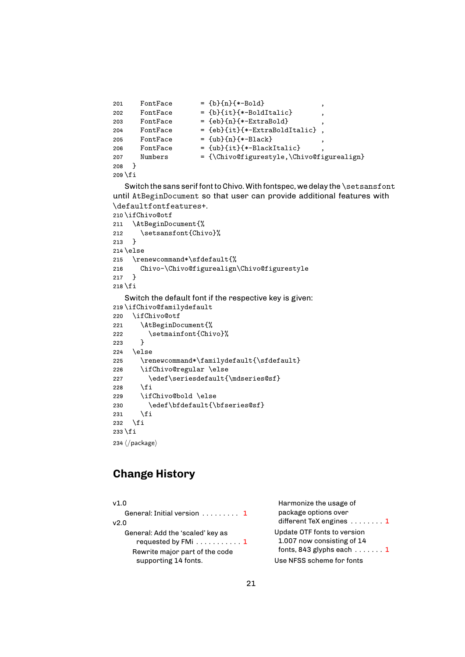```
201 FontFace = {b}{n}{+*-Bold}202 FontFace = {b}{it}{*-BoldItalic}
203 FontFace = {eb}{n}{*-ExtraBold}
204 FontFace = {eb}{it}{*-ExtraBoldItalic},
205 FontFace = {ub}{n}{*-Black}
206 FontFace = {ub}{it} +-BlackItalic}
207 Numbers = {\Chivo@figurestyle,\Chivo@figurealign}
208 }
```

```
209 \fi
```
Switch the sans serif font to Chivo. With fontspec, we delay the \setsansfont until AtBeginDocument so that user can provide additional features with \defaultfontfeatures+.

```
210 \ifChivo@otf
211 \AtBeginDocument{%
212 \setsansfont{Chivo}%
213 }
214 \else
215 \renewcommand*\sfdefault{%
216 Chivo-\Chivo@figurealign\Chivo@figurestyle
217 }
218 \fi
   Switch the default font if the respective key is given:
219 \ifChivo@familydefault
220 \ifChivo@otf
221 \AtBeginDocument{%
222 \setmainfont{Chivo}%
223 }
224 \else
225 \renewcommand*\familydefault{\sfdefault}
226 \ifChivo@regular \else
227 \edef\seriesdefault{\mdseries@sf}
228 \fi
229 \ifChivo@bold \else
230 \edef\bfdefault{\bfseries@sf}
231 \fi
232 \fi
233 \fi
234 \langle / package\rangle
```
# **Change History**

| v1.0                                       | Harmonize the usage of                 |
|--------------------------------------------|----------------------------------------|
| General: Initial version $\ldots \ldots$ 1 | package options over                   |
| v2.0                                       | different TeX engines 1                |
| General: Add the 'scaled' key as           | Update OTF fonts to version            |
| requested by FMi $\ldots \ldots \ldots 1$  | 1.007 now consisting of 14             |
| Rewrite major part of the code             | fonts, 843 glyphs each $\dots \dots 1$ |
| supporting 14 fonts.                       | Use NFSS scheme for fonts              |